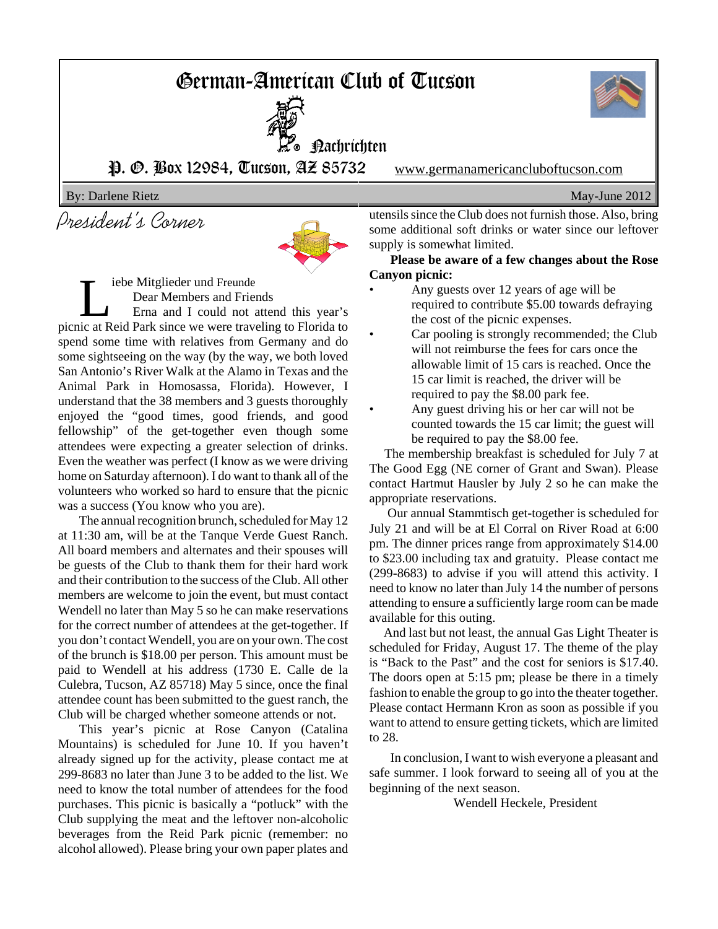# German-American Club of Tucson

Nachrichten



P. O. Box 12984, Tucson, AZ 85732 www.germanamericancluboftucson.com

By: Darlene Rietz May-June 2012

President's Corner



iebe Mitglieder und Freunde Dear Members and Friends Erna and I could not attend this year's picnic at Reid Park since we were traveling to Florida to spend some time with relatives from Germany and do some sightseeing on the way (by the way, we both loved San Antonio's River Walk at the Alamo in Texas and the Animal Park in Homosassa, Florida). However, I understand that the 38 members and 3 guests thoroughly enjoyed the "good times, good friends, and good fellowship" of the get-together even though some attendees were expecting a greater selection of drinks. Even the weather was perfect (I know as we were driving home on Saturday afternoon). I do want to thank all of the volunteers who worked so hard to ensure that the picnic was a success (You know who you are).

The annual recognition brunch, scheduled for May 12 at 11:30 am, will be at the Tanque Verde Guest Ranch. All board members and alternates and their spouses will be guests of the Club to thank them for their hard work and their contribution to the success of the Club. All other members are welcome to join the event, but must contact Wendell no later than May 5 so he can make reservations for the correct number of attendees at the get-together. If you don't contact Wendell, you are on your own. The cost of the brunch is \$18.00 per person. This amount must be paid to Wendell at his address (1730 E. Calle de la Culebra, Tucson, AZ 85718) May 5 since, once the final attendee count has been submitted to the guest ranch, the Club will be charged whether someone attends or not.

This year's picnic at Rose Canyon (Catalina Mountains) is scheduled for June 10. If you haven't already signed up for the activity, please contact me at 299-8683 no later than June 3 to be added to the list. We need to know the total number of attendees for the food purchases. This picnic is basically a "potluck" with the Club supplying the meat and the leftover non-alcoholic beverages from the Reid Park picnic (remember: no alcohol allowed). Please bring your own paper plates and utensils since the Club does not furnish those. Also, bring some additional soft drinks or water since our leftover supply is somewhat limited.

**Please be aware of a few changes about the Rose Canyon picnic:**

- Any guests over 12 years of age will be required to contribute \$5.00 towards defraying the cost of the picnic expenses.
- Car pooling is strongly recommended; the Club will not reimburse the fees for cars once the allowable limit of 15 cars is reached. Once the 15 car limit is reached, the driver will be required to pay the \$8.00 park fee.
- Any guest driving his or her car will not be counted towards the 15 car limit; the guest will be required to pay the \$8.00 fee.

 The membership breakfast is scheduled for July 7 at The Good Egg (NE corner of Grant and Swan). Please contact Hartmut Hausler by July 2 so he can make the appropriate reservations.

 Our annual Stammtisch get-together is scheduled for July 21 and will be at El Corral on River Road at 6:00 pm. The dinner prices range from approximately \$14.00 to \$23.00 including tax and gratuity. Please contact me (299-8683) to advise if you will attend this activity. I need to know no later than July 14 the number of persons attending to ensure a sufficiently large room can be made available for this outing.

 And last but not least, the annual Gas Light Theater is scheduled for Friday, August 17. The theme of the play is "Back to the Past" and the cost for seniors is \$17.40. The doors open at 5:15 pm; please be there in a timely fashion to enable the group to go into the theater together. Please contact Hermann Kron as soon as possible if you want to attend to ensure getting tickets, which are limited to 28.

In conclusion, I want to wish everyone a pleasant and safe summer. I look forward to seeing all of you at the beginning of the next season.

Wendell Heckele, President

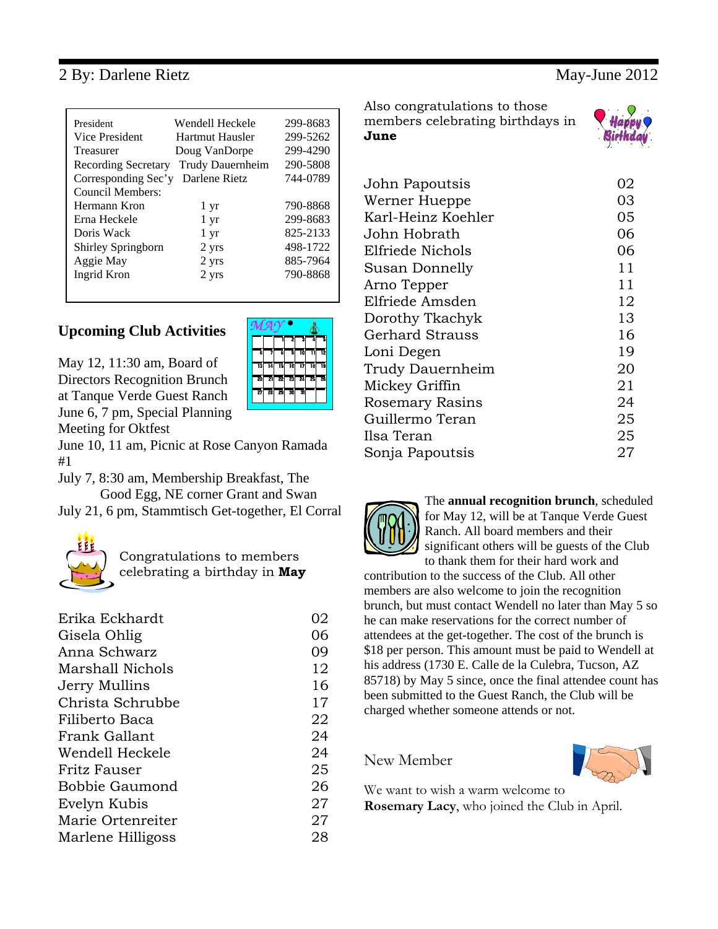### 2 By: Darlene Rietz May-June 2012

| President<br>Vice President<br>Treasurer<br>Recording Secretary<br>Corresponding Sec'y<br>Council Members:<br>Hermann Kron<br>Erna Heckele<br>Doris Wack | Wendell Heckele<br>Hartmut Hausler<br>Doug VanDorpe<br>Trudy Dauernheim<br>Darlene Rietz<br>1 yr<br>$1 \mathrm{yr}$<br>$1 \mathrm{yr}$ | 299-8683<br>299-5262<br>299-4290<br>290-5808<br>744-0789<br>790-8868<br>299-8683<br>825-2133 |
|----------------------------------------------------------------------------------------------------------------------------------------------------------|----------------------------------------------------------------------------------------------------------------------------------------|----------------------------------------------------------------------------------------------|
|                                                                                                                                                          |                                                                                                                                        |                                                                                              |
| Shirley Springborn<br>Aggie May<br>Ingrid Kron                                                                                                           | 2 yrs<br>2 yrs<br>2 yrs                                                                                                                | 498-1722<br>885-7964<br>790-8868                                                             |
|                                                                                                                                                          |                                                                                                                                        |                                                                                              |

### **Upcoming Club Activities**

May 12, 11:30 am, Board of Directors Recognition Brunch at Tanque Verde Guest Ranch June 6, 7 pm, Special Planning Meeting for Oktfest

June 10, 11 am, Picnic at Rose Canyon Ramada #1

July 7, 8:30 am, Membership Breakfast, The Good Egg, NE corner Grant and Swan July 21, 6 pm, Stammtisch Get-together, El Corral



Congratulations to members celebrating a birthday in **May**

| Erika Eckhardt          | 02 |
|-------------------------|----|
| Gisela Ohlig            | 06 |
| Anna Schwarz            | 09 |
| <b>Marshall Nichols</b> | 12 |
| Jerry Mullins           | 16 |
| Christa Schrubbe        | 17 |
| Filiberto Baca          | 22 |
| Frank Gallant           | 24 |
| Wendell Heckele         | 24 |
| Fritz Fauser            | 25 |
| Bobbie Gaumond          | 26 |
| Evelyn Kubis            | 27 |
| Marie Ortenreiter       | 27 |
| Marlene Hilligoss       | 28 |

Also congratulations to those members celebrating birthdays in **June**

| John Papoutsis         | 02 |
|------------------------|----|
| Werner Hueppe          | 03 |
| Karl-Heinz Koehler     | 05 |
| John Hobrath           | 06 |
| Elfriede Nichols       | 06 |
| Susan Donnelly         | 11 |
| Arno Tepper            | 11 |
| Elfriede Amsden        | 12 |
| Dorothy Tkachyk        | 13 |
| Gerhard Strauss        | 16 |
| Loni Degen             | 19 |
| Trudy Dauernheim       | 20 |
| Mickey Griffin         | 21 |
| <b>Rosemary Rasins</b> | 24 |
| Guillermo Teran        | 25 |
| Ilsa Teran             | 25 |
| Sonja Papoutsis        | 27 |
|                        |    |



The **annual recognition brunch**, scheduled for May 12, will be at Tanque Verde Guest Ranch. All board members and their significant others will be guests of the Club to thank them for their hard work and

contribution to the success of the Club. All other members are also welcome to join the recognition brunch, but must contact Wendell no later than May 5 so he can make reservations for the correct number of attendees at the get-together. The cost of the brunch is \$18 per person. This amount must be paid to Wendell at his address (1730 E. Calle de la Culebra, Tucson, AZ 85718) by May 5 since, once the final attendee count has been submitted to the Guest Ranch, the Club will be charged whether someone attends or not.

New Member



We want to wish a warm welcome to **Rosemary Lacy**, who joined the Club in April.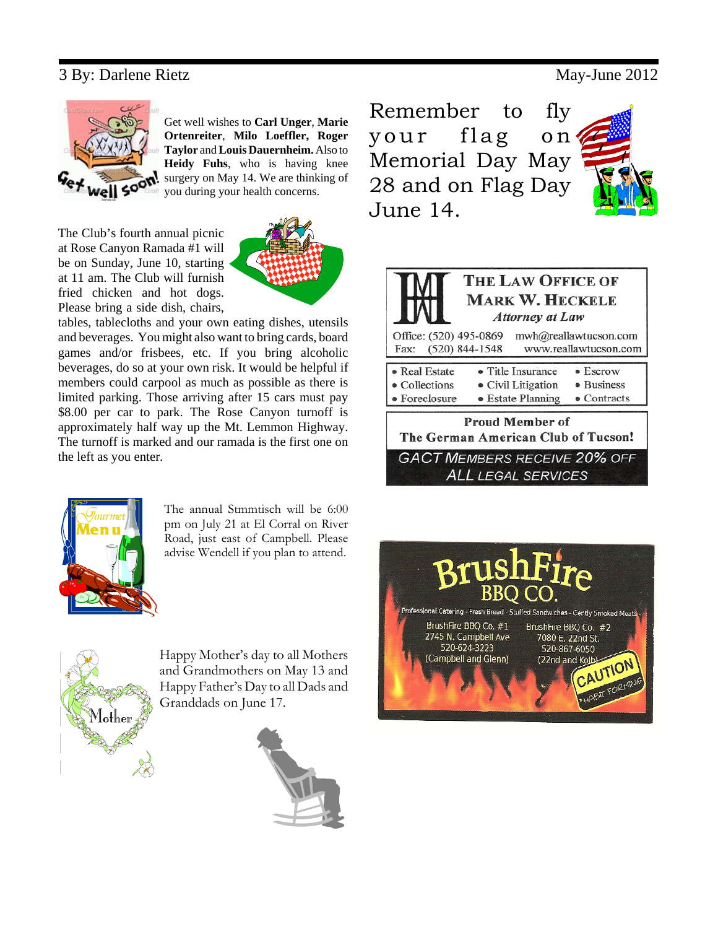### 3 By: Darlene Rietz May-June 2012



Get well wishes to **Carl Unger**, **Marie Ortenreiter**, **Milo Loeffler, Roger Taylor** and **Louis Dauernheim.** Also to **Heidy Fuhs**, who is having knee surgery on May 14. We are thinking of you during your health concerns.

The Club's fourth annual picnic at Rose Canyon Ramada #1 will be on Sunday, June 10, starting at 11 am. The Club will furnish fried chicken and hot dogs. Please bring a side dish, chairs,



tables, tablecloths and your own eating dishes, utensils and beverages. You might also want to bring cards, board games and/or frisbees, etc. If you bring alcoholic beverages, do so at your own risk. It would be helpful if members could carpool as much as possible as there is limited parking. Those arriving after 15 cars must pay \$8.00 per car to park. The Rose Canyon turnoff is approximately half way up the Mt. Lemmon Highway. The turnoff is marked and our ramada is the first one on the left as you enter.



The annual Stmmtisch will be 6:00 pm on July 21 at El Corral on River Road, just east of Campbell. Please advise Wendell if you plan to attend.



Happy Mother's day to all Mothers and Grandmothers on May 13 and Happy Father's Day to all Dads and Granddads on June 17.



Remember to fly your flag on Memorial Day May 28 and on Flag Day June 14.